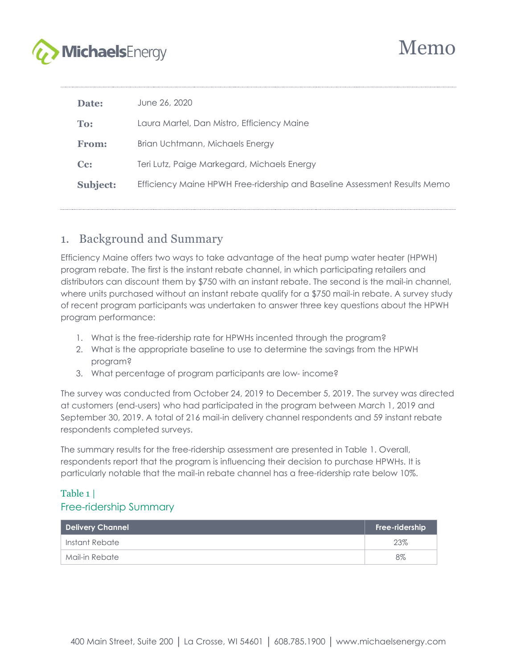

| Date:              | June 26, 2020                                                             |
|--------------------|---------------------------------------------------------------------------|
| To:                | Laura Martel, Dan Mistro, Efficiency Maine                                |
| From:              | Brian Uchtmann, Michaels Energy                                           |
| $C_{\mathbf{C}}$ : | Teri Lutz, Paige Markegard, Michaels Energy                               |
| <b>Subject:</b>    | Efficiency Maine HPWH Free-ridership and Baseline Assessment Results Memo |
|                    |                                                                           |

# 1. Background and Summary

Efficiency Maine offers two ways to take advantage of the heat pump water heater (HPWH) program rebate. The first is the instant rebate channel, in which participating retailers and distributors can discount them by \$750 with an instant rebate. The second is the mail-in channel, where units purchased without an instant rebate qualify for a \$750 mail-in rebate. A survey study of recent program participants was undertaken to answer three key questions about the HPWH program performance:

- 1. What is the free-ridership rate for HPWHs incented through the program?
- 2. What is the appropriate baseline to use to determine the savings from the HPWH program?
- 3. What percentage of program participants are low- income?

The survey was conducted from October 24, 2019 to December 5, 2019. The survey was directed at customers (end-users) who had participated in the program between March 1, 2019 and September 30, 2019. A total of 216 mail-in delivery channel respondents and 59 instant rebate respondents completed surveys.

The summary results for the free-ridership assessment are presented in [Table 1.](#page-0-0) Overall, respondents report that the program is influencing their decision to purchase HPWHs. It is particularly notable that the mail-in rebate channel has a free-ridership rate below 10%.

#### <span id="page-0-0"></span>Table 1 | Free-ridership Summary

| <b>Delivery Channel</b> | Free-ridership |
|-------------------------|----------------|
| Instant Rebate          | 23%            |
| Mail-in Rebate          | $8\%$          |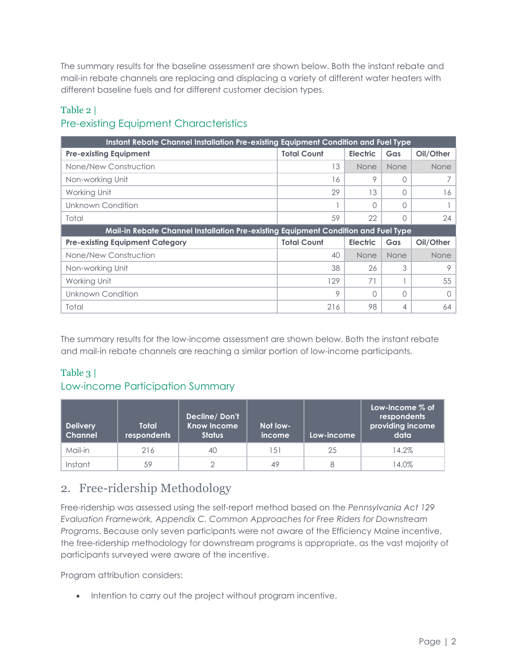The summary results for the baseline assessment are shown below. Both the instant rebate and mail-in rebate channels are replacing and displacing a variety of different water heaters with different baseline fuels and for different customer decision types.

## Table 2 | Pre-existing Equipment Characteristics

| Instant Rebate Channel Installation Pre-existing Equipment Condition and Fuel Type |                    |                 |             |           |  |  |  |
|------------------------------------------------------------------------------------|--------------------|-----------------|-------------|-----------|--|--|--|
| <b>Pre-existing Equipment</b>                                                      | <b>Total Count</b> | <b>Electric</b> | Gas         | Oil/Other |  |  |  |
| None/New Construction                                                              | 13                 | <b>None</b>     | <b>None</b> | None      |  |  |  |
| Non-working Unit                                                                   | 16                 | 9               | O           |           |  |  |  |
| Working Unit                                                                       | 29                 | 13              |             | 16        |  |  |  |
| Unknown Condition                                                                  |                    |                 |             |           |  |  |  |
| Total                                                                              | 59                 | 22              | ∩           | 24        |  |  |  |
| Mail-in Rebate Channel Installation Pre-existing Equipment Condition and Fuel Type |                    |                 |             |           |  |  |  |
|                                                                                    |                    |                 |             |           |  |  |  |
| <b>Pre-existing Equipment Category</b>                                             | <b>Total Count</b> | <b>Electric</b> | Gas         | Oil/Other |  |  |  |
| None/New Construction                                                              | 40                 | None            | None        | None      |  |  |  |
| Non-working Unit                                                                   | 38                 | 26              | 3           | 9         |  |  |  |
| Working Unit                                                                       | 129                | 71              |             | 55        |  |  |  |
| Unknown Condition                                                                  | 9                  | $\cap$          | O           | ∩         |  |  |  |

The summary results for the low-income assessment are shown below. Both the instant rebate and mail-in rebate channels are reaching a similar portion of low-income participants.

#### Table 3 |

#### Low-income Participation Summary

| <b>Delivery</b><br><b>Channel</b> | Total<br>respondents | Decline/Don't<br><b>Know Income</b><br><b>Status</b> | Not low-<br>income | Low-income | Low-income $%$ of<br>respondents<br>providing income<br>data |
|-----------------------------------|----------------------|------------------------------------------------------|--------------------|------------|--------------------------------------------------------------|
| Mail-in                           | 216                  | 40                                                   | 151                | 25         | 14.2%                                                        |
| Instant                           | 59                   |                                                      | 49                 |            | 14.0%                                                        |

# 2. Free-ridership Methodology

Free-ridership was assessed using the self-report method based on the *Pennsylvania Act 129 Evaluation Framework, Appendix C. Common Approaches for Free Riders for Downstream Programs*. Because only seven participants were not aware of the Efficiency Maine incentive, the free-ridership methodology for downstream programs is appropriate, as the vast majority of participants surveyed were aware of the incentive.

Program attribution considers:

• Intention to carry out the project without program incentive.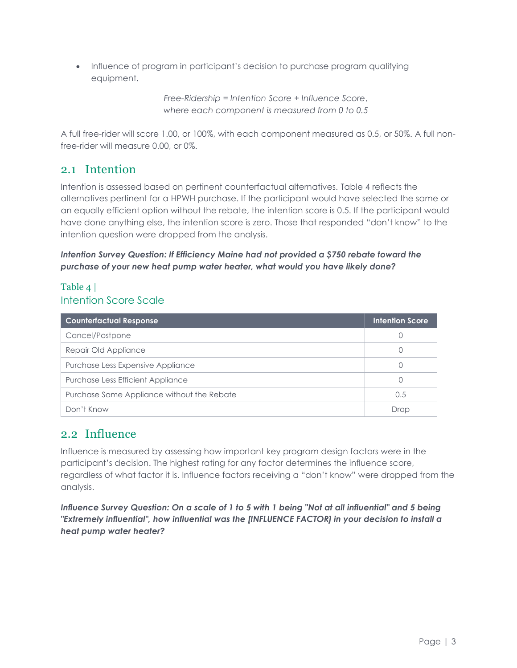• Influence of program in participant's decision to purchase program qualifying equipment.

> *Free-Ridership = Intention Score + Influence Score*, *where each component is measured from 0 to 0.5*

A full free-rider will score 1.00, or 100%, with each component measured as 0.5, or 50%. A full nonfree-rider will measure 0.00, or 0%.

# 2.1 Intention

Intention is assessed based on pertinent counterfactual alternatives. [Table 4](#page-2-0) reflects the alternatives pertinent for a HPWH purchase. If the participant would have selected the same or an equally efficient option without the rebate, the intention score is 0.5. If the participant would have done anything else, the intention score is zero. Those that responded "don't know" to the intention question were dropped from the analysis.

#### *Intention Survey Question: If Efficiency Maine had not provided a \$750 rebate toward the purchase of your new heat pump water heater, what would you have likely done?*

#### <span id="page-2-0"></span>Table 4 | Intention Score Scale

| <b>Counterfactual Response</b>             | <b>Intention Score</b> |
|--------------------------------------------|------------------------|
| Cancel/Postpone                            |                        |
| Repair Old Appliance                       |                        |
| Purchase Less Expensive Appliance          |                        |
| Purchase Less Efficient Appliance          | 0                      |
| Purchase Same Appliance without the Rebate | 0.5                    |
| Don't Know                                 | Drop                   |

# 2.2 Influence

Influence is measured by assessing how important key program design factors were in the participant's decision. The highest rating for any factor determines the influence score, regardless of what factor it is. Influence factors receiving a "don't know" were dropped from the analysis.

*Influence Survey Question: On a scale of 1 to 5 with 1 being "Not at all influential" and 5 being "Extremely influential", how influential was the [INFLUENCE FACTOR] in your decision to install a heat pump water heater?*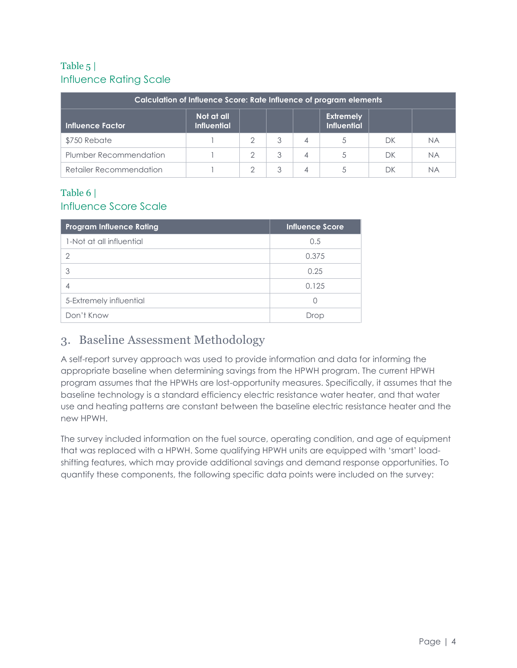## Table 5 | Influence Rating Scale

| Calculation of Influence Score: Rate Influence of program elements                                    |  |   |   |   |  |    |           |
|-------------------------------------------------------------------------------------------------------|--|---|---|---|--|----|-----------|
| Not at all<br><b>Extremely</b><br><b>Influential</b><br><b>Influential</b><br><b>Influence Factor</b> |  |   |   |   |  |    |           |
| \$750 Rebate                                                                                          |  |   | 3 | 4 |  | DК | <b>NA</b> |
| Plumber Recommendation                                                                                |  | っ | 3 | 4 |  | DК | <b>NA</b> |
| Retailer Recommendation                                                                               |  |   | 3 | 4 |  | DK | <b>NA</b> |

#### Table 6 | Influence Score Scale

| <b>Program Influence Rating</b> | <b>Influence Score</b> |
|---------------------------------|------------------------|
| 1-Not at all influential        | 0.5                    |
| 2                               | 0.375                  |
| 3                               | 0.25                   |
|                                 | 0.125                  |
| 5-Extremely influential         | $\left( \right)$       |
| Don't Know                      | Drop                   |

# 3. Baseline Assessment Methodology

A self-report survey approach was used to provide information and data for informing the appropriate baseline when determining savings from the HPWH program. The current HPWH program assumes that the HPWHs are lost-opportunity measures. Specifically, it assumes that the baseline technology is a standard efficiency electric resistance water heater, and that water use and heating patterns are constant between the baseline electric resistance heater and the new HPWH.

The survey included information on the fuel source, operating condition, and age of equipment that was replaced with a HPWH. Some qualifying HPWH units are equipped with 'smart' loadshifting features, which may provide additional savings and demand response opportunities. To quantify these components, the following specific data points were included on the survey: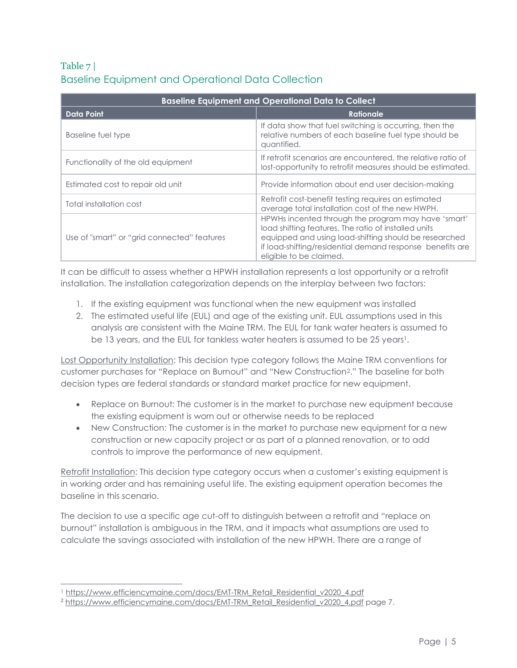## Table 7 | Baseline Equipment and Operational Data Collection

| <b>Baseline Equipment and Operational Data to Collect</b> |                                                                                                                                                                                                                                                              |  |  |  |  |
|-----------------------------------------------------------|--------------------------------------------------------------------------------------------------------------------------------------------------------------------------------------------------------------------------------------------------------------|--|--|--|--|
| <b>Data Point</b>                                         | <b>Rationale</b>                                                                                                                                                                                                                                             |  |  |  |  |
| Baseline fuel type                                        | If data show that fuel switching is occurring, then the<br>relative numbers of each baseline fuel type should be<br>quantified.                                                                                                                              |  |  |  |  |
| Functionality of the old equipment                        | If retrofit scenarios are encountered, the relative ratio of<br>lost-opportunity to retrofit measures should be estimated.                                                                                                                                   |  |  |  |  |
| Estimated cost to repair old unit                         | Provide information about end user decision-making                                                                                                                                                                                                           |  |  |  |  |
| Total installation cost                                   | Retrofit cost-benefit testing requires an estimated<br>average total installation cost of the new HWPH.                                                                                                                                                      |  |  |  |  |
| Use of "smart" or "grid connected" features               | HPWHs incented through the program may have 'smart'<br>load shifting features. The ratio of installed units<br>equipped and using load-shifting should be researched<br>if load-shifting/residential demand response benefits are<br>eligible to be claimed. |  |  |  |  |

It can be difficult to assess whether a HPWH installation represents a lost opportunity or a retrofit installation. The installation categorization depends on the interplay between two factors:

- 1. If the existing equipment was functional when the new equipment was installed
- 2. The estimated useful life (EUL) and age of the existing unit. EUL assumptions used in this analysis are consistent with the Maine TRM. The EUL for tank water heaters is assumed to be 13 years, and the EUL for tankless water heaters is assumed to be 25 years<sup>1</sup>.

Lost Opportunity Installation: This decision type category follows the Maine TRM conventions for customer purchases for "Replace on Burnout" and "New Construction2." The baseline for both decision types are federal standards or standard market practice for new equipment.

- Replace on Burnout: The customer is in the market to purchase new equipment because the existing equipment is worn out or otherwise needs to be replaced
- New Construction: The customer is in the market to purchase new equipment for a new construction or new capacity project or as part of a planned renovation, or to add controls to improve the performance of new equipment.

Retrofit Installation: This decision type category occurs when a customer's existing equipment is in working order and has remaining useful life. The existing equipment operation becomes the baseline in this scenario.

The decision to use a specific age cut-off to distinguish between a retrofit and "replace on burnout" installation is ambiguous in the TRM, and it impacts what assumptions are used to calculate the savings associated with installation of the new HPWH. There are a range of

<sup>1</sup> [https://www.efficiencymaine.com/docs/EMT-TRM\\_Retail\\_Residential\\_v2020\\_4.pdf](https://www.efficiencymaine.com/docs/EMT-TRM_Retail_Residential_v2020_4.pdf)

<sup>&</sup>lt;sup>2</sup> [https://www.efficiencymaine.com/docs/EMT-TRM\\_Retail\\_Residential\\_v2020\\_4.pdf](https://www.efficiencymaine.com/docs/EMT-TRM_Retail_Residential_v2020_4.pdf) page 7.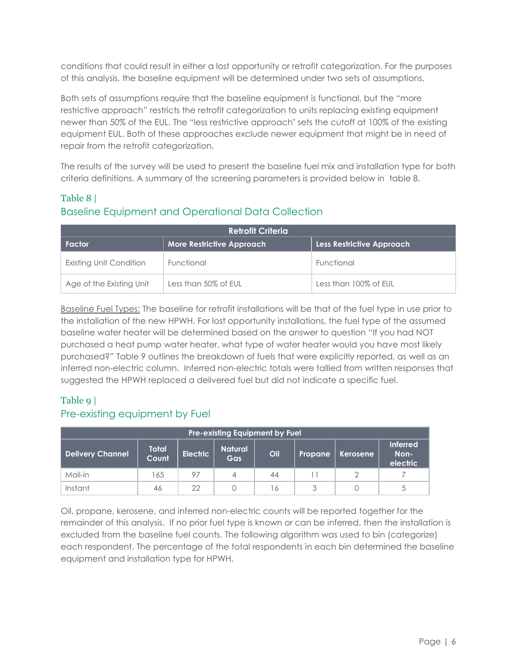conditions that could result in either a lost opportunity or retrofit categorization. For the purposes of this analysis, the baseline equipment will be determined under two sets of assumptions.

Both sets of assumptions require that the baseline equipment is functional, but the "more restrictive approach" restricts the retrofit categorization to units replacing existing equipment newer than 50% of the EUL. The "less restrictive approach" sets the cutoff at 100% of the existing equipment EUL. Both of these approaches exclude newer equipment that might be in need of repair from the retrofit categorization.

The results of the survey will be used to present the baseline fuel mix and installation type for both criteria definitions. A summary of the screening parameters is provided below in table 8.

#### Table 8 | Baseline Equipment and Operational Data Collection

| <b>Retrofit Criteria</b> |                                  |                                  |  |  |  |  |
|--------------------------|----------------------------------|----------------------------------|--|--|--|--|
| Factor                   | <b>More Restrictive Approach</b> | <b>Less Restrictive Approach</b> |  |  |  |  |
| Existing Unit Condition  | Functional                       | Functional                       |  |  |  |  |
| Age of the Existing Unit | Less than 50% of EUL             | Less than 100% of EUL            |  |  |  |  |

Baseline Fuel Types: The baseline for retrofit installations will be that of the fuel type in use prior to the installation of the new HPWH. For lost opportunity installations, the fuel type of the assumed baseline water heater will be determined based on the answer to question "If you had NOT purchased a heat pump water heater, what type of water heater would you have most likely purchased?" Table 9 outlines the breakdown of fuels that were explicitly reported, as well as an inferred non-electric column. Inferred non-electric totals were tallied from written responses that suggested the HPWH replaced a delivered fuel but did not indicate a specific fuel.

#### Table 9 |

#### Pre-existing equipment by Fuel

| <b>Pre-existing Equipment by Fuel</b>                                                                                              |     |    |  |    |  |   |                             |
|------------------------------------------------------------------------------------------------------------------------------------|-----|----|--|----|--|---|-----------------------------|
| <b>Natural</b><br><b>Total</b><br><b>Electric</b><br>Oil<br><b>Delivery Channel</b><br>Non-<br>Kerosene<br>Propane<br>Count<br>Gas |     |    |  |    |  |   | <b>Inferred</b><br>electric |
| Mail-in                                                                                                                            | 165 | 97 |  | 44 |  | ≘ |                             |
| Instant                                                                                                                            | 46  | クク |  | 16 |  |   |                             |

Oil, propane, kerosene, and inferred non-electric counts will be reported together for the remainder of this analysis. If no prior fuel type is known or can be inferred, then the installation is excluded from the baseline fuel counts. The following algorithm was used to bin (categorize) each respondent. The percentage of the total respondents in each bin determined the baseline equipment and installation type for HPWH.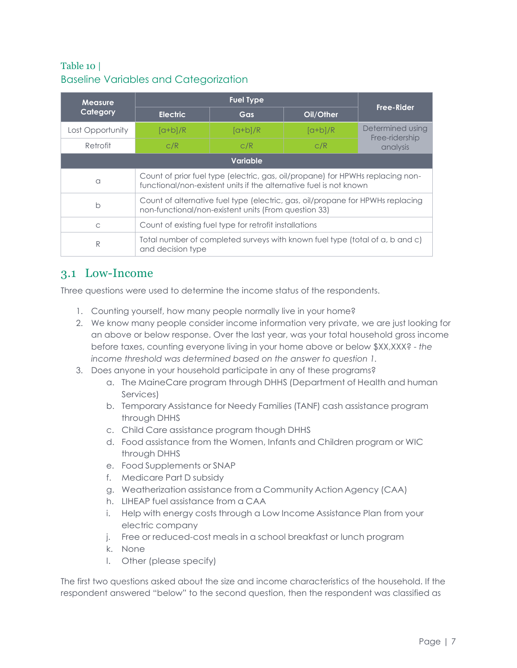#### Table 10 | Baseline Variables and Categorization

| <b>Measure</b>   |                                                                                                                                                      | <b>Free-Rider</b>    |           |                            |  |  |
|------------------|------------------------------------------------------------------------------------------------------------------------------------------------------|----------------------|-----------|----------------------------|--|--|
| Category         | <b>Electric</b>                                                                                                                                      | Gas                  | Oil/Other |                            |  |  |
| Lost Opportunity | $\lceil a+b\rceil/R$                                                                                                                                 | $\lceil a+b\rceil/R$ | $[a+b]/R$ | Determined using           |  |  |
| Retrofit         | C/R                                                                                                                                                  | C/R                  | C/R       | Free-ridership<br>analysis |  |  |
| <b>Variable</b>  |                                                                                                                                                      |                      |           |                            |  |  |
| $\alpha$         | Count of prior fuel type (electric, gas, oil/propane) for HPWHs replacing non-<br>functional/non-existent units if the alternative fuel is not known |                      |           |                            |  |  |
| $\mathsf{b}$     | Count of alternative fuel type (electric, gas, oil/propane for HPWHs replacing<br>non-functional/non-existent units (From question 33)               |                      |           |                            |  |  |
| C                | Count of existing fuel type for retrofit installations                                                                                               |                      |           |                            |  |  |
| R                | Total number of completed surveys with known fuel type (total of a, b and c)<br>and decision type                                                    |                      |           |                            |  |  |

# 3.1 Low-Income

Three questions were used to determine the income status of the respondents.

- 1. Counting yourself, how many people normally live in your home?
- 2. We know many people consider income information very private, we are just looking for an above or below response. Over the last year, was your total household gross income before taxes, counting everyone living in your home above or below \$XX,XXX? - *the income threshold was determined based on the answer to question 1.*
- 3. Does anyone in your household participate in any of these programs?
	- a. The MaineCare program through DHHS (Department of Health and human Services)
	- b. Temporary Assistance for Needy Families (TANF) cash assistance program through DHHS
	- c. Child Care assistance program though DHHS
	- d. Food assistance from the Women, Infants and Children program or WIC through DHHS
	- e. Food Supplements or SNAP
	- f. Medicare Part D subsidy
	- g. Weatherization assistance from a Community Action Agency (CAA)
	- h. LIHEAP fuel assistance from a CAA
	- i. Help with energy costs through a Low Income Assistance Plan from your electric company
	- j. Free or reduced-cost meals in a school breakfast or lunch program
	- k. None
	- l. Other (please specify)

The first two questions asked about the size and income characteristics of the household. If the respondent answered "below" to the second question, then the respondent was classified as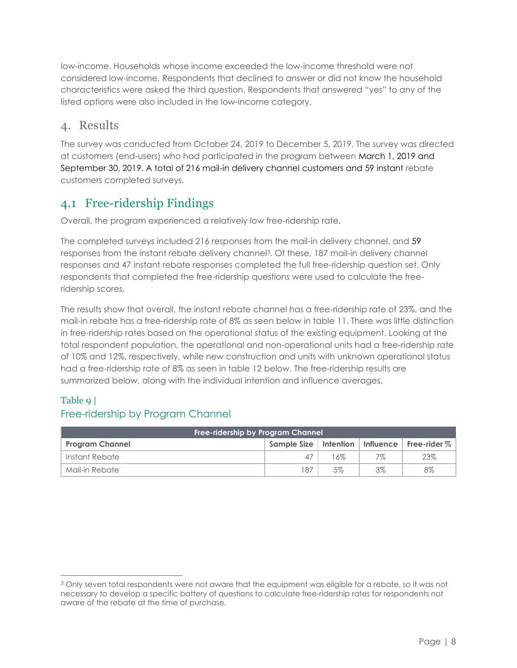low-income. Households whose income exceeded the low-income threshold were not considered low-income. Respondents that declined to answer or did not know the household characteristics were asked the third question. Respondents that answered "yes" to any of the listed options were also included in the low-income category.

# 4. Results

The survey was conducted from October 24, 2019 to December 5, 2019. The survey was directed at customers (end-users) who had participated in the program between March 1, 2019 and September 30, 2019. A total of 216 mail-in delivery channel customers and 59 instant rebate customers completed surveys.

# 4.1 Free-ridership Findings

Overall, the program experienced a relatively low free-ridership rate.

The completed surveys included 216 responses from the mail-in delivery channel, and 59 responses from the instant rebate delivery channel3. Of these, 187 mail-in delivery channel responses and 47 instant rebate responses completed the full free-ridership question set. Only respondents that completed the free-ridership questions were used to calculate the freeridership scores.

The results show that overall, the instant rebate channel has a free-ridership rate of 23%, and the mail-in rebate has a free-ridership rate of 8% as seen below in table 11. There was little distinction in free-ridership rates based on the operational status of the existing equipment. Looking at the total respondent population, the operational and non-operational units had a free-ridership rate of 10% and 12%, respectively, while new construction and units with unknown operational status had a free-ridership rate of 8% as seen in table 12 below. The free-ridership results are summarized below, along with the individual intention and influence averages.

## Table 9 |

#### Free-ridership by Program Channel

| Free-ridership by Program Channel |     |     |    |                                                    |  |  |
|-----------------------------------|-----|-----|----|----------------------------------------------------|--|--|
| <b>Program Channel</b>            |     |     |    | Sample Size   Intention   Influence   Free-rider % |  |  |
| Instant Rebate                    | 47  | 16% | 7% | 23%                                                |  |  |
| Mail-in Rebate                    | 187 | 5%  | 3% | 8%                                                 |  |  |

<sup>&</sup>lt;sup>3</sup> Only seven total respondents were not aware that the equipment was eligible for a rebate, so it was not necessary to develop a specific battery of questions to calculate free-ridership rates for respondents not aware of the rebate at the time of purchase.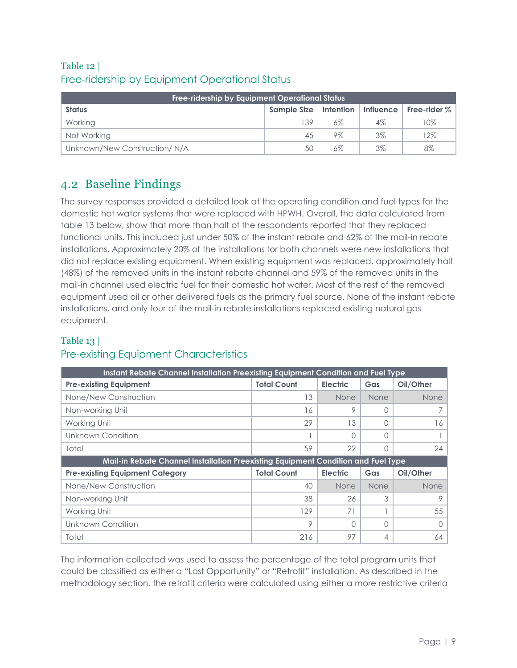# Table 12 | Free-ridership by Equipment Operational Status

| <b>Free-ridership by Equipment Operational Status</b> |             |                   |                  |                        |  |  |  |  |
|-------------------------------------------------------|-------------|-------------------|------------------|------------------------|--|--|--|--|
| <b>Status</b>                                         | Sample Size | Intention $\vert$ | <b>Influence</b> | $\mid$ Free-rider $\%$ |  |  |  |  |
| Working                                               | 139         | 6%                | $4\%$            | 10%                    |  |  |  |  |
| Not Working                                           |             | 9%                | $3\%$            | 12%                    |  |  |  |  |
| Unknown/New Construction/N/A                          |             | 6%                | $3\%$            | 8%                     |  |  |  |  |

# 4.2 Baseline Findings

The survey responses provided a detailed look at the operating condition and fuel types for the domestic hot water systems that were replaced with HPWH. Overall, the data calculated from table 13 below, show that more than half of the respondents reported that they replaced functional units. This included just under 50% of the instant rebate and 62% of the mail-in rebate installations. Approximately 20% of the installations for both channels were new installations that did not replace existing equipment. When existing equipment was replaced, approximately half (48%) of the removed units in the instant rebate channel and 59% of the removed units in the mail-in channel used electric fuel for their domestic hot water. Most of the rest of the removed equipment used oil or other delivered fuels as the primary fuel source. None of the instant rebate installations, and only four of the mail-in rebate installations replaced existing natural gas equipment.

#### Table 13 |

# Pre-existing Equipment Characteristics

| Instant Rebate Channel Installation Preexisting Equipment Condition and Fuel Type |                    |                 |                  |             |  |  |  |  |
|-----------------------------------------------------------------------------------|--------------------|-----------------|------------------|-------------|--|--|--|--|
| <b>Pre-existing Equipment</b>                                                     | <b>Total Count</b> | <b>Electric</b> | Gas              | Oil/Other   |  |  |  |  |
| None/New Construction                                                             | 13                 | None            | None             | <b>None</b> |  |  |  |  |
| Non-working Unit                                                                  | 16                 | 9               | 0                |             |  |  |  |  |
| Working Unit                                                                      | 29                 | 13              | $\left( \right)$ | 16          |  |  |  |  |
| Unknown Condition                                                                 |                    | Ω               |                  |             |  |  |  |  |
| Total                                                                             | 59                 | 22              | Ω                | 24          |  |  |  |  |
| Mail-in Rebate Channel Installation Preexisting Equipment Condition and Fuel Type |                    |                 |                  |             |  |  |  |  |
|                                                                                   |                    |                 |                  |             |  |  |  |  |
| <b>Pre-existing Equipment Category</b>                                            | <b>Total Count</b> | <b>Electric</b> | Gas              | Oil/Other   |  |  |  |  |
| None/New Construction                                                             | 40                 | None            | None             | <b>None</b> |  |  |  |  |
| Non-working Unit                                                                  | 38                 | 26              | 3                | 9           |  |  |  |  |
| Working Unit                                                                      | 129                | 71              |                  | 55          |  |  |  |  |
| Unknown Condition                                                                 | 9                  | ∩               | $\cap$           | $\Omega$    |  |  |  |  |

The information collected was used to assess the percentage of the total program units that could be classified as either a "Lost Opportunity" or "Retrofit" installation. As described in the methodology section, the retrofit criteria were calculated using either a more restrictive criteria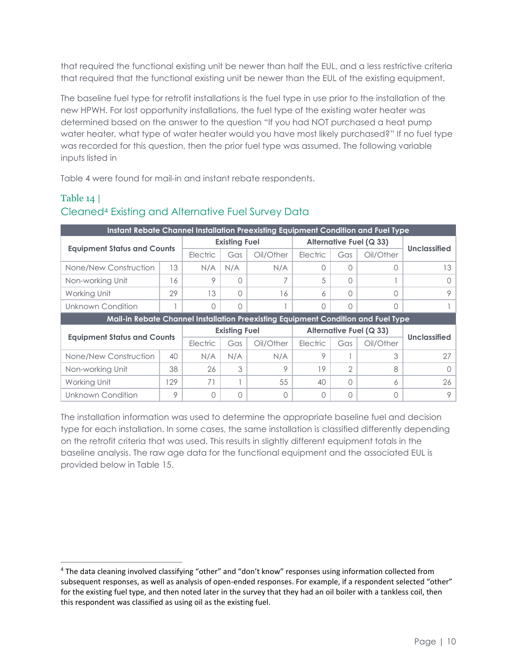that required the functional existing unit be newer than half the EUL, and a less restrictive criteria that required that the functional existing unit be newer than the EUL of the existing equipment.

The baseline fuel type for retrofit installations is the fuel type in use prior to the installation of the new HPWH. For lost opportunity installations, the fuel type of the existing water heater was determined based on the answer to the question "If you had NOT purchased a heat pump water heater, what type of water heater would you have most likely purchased?" If no fuel type was recorded for this question, then the prior fuel type was assumed. The following variable inputs listed in

<span id="page-9-0"></span>[Table 4](#page-9-0) were found for mail-in and instant rebate respondents.

#### Table 14 | Cleaned<sup>4</sup> Existing and Alternative Fuel Survey Data

| Instant Rebate Channel Installation Preexisting Equipment Condition and Fuel Type |     |          |                      |           |              |                                |                                |                     |
|-----------------------------------------------------------------------------------|-----|----------|----------------------|-----------|--------------|--------------------------------|--------------------------------|---------------------|
|                                                                                   |     |          | <b>Existing Fuel</b> |           |              | <b>Alternative Fuel (Q 33)</b> |                                |                     |
| <b>Equipment Status and Counts</b>                                                |     | Electric | Gas                  | Oil/Other | Electric     | Gas                            | Oil/Other                      | <b>Unclassified</b> |
| None/New Construction                                                             | 13  | N/A      | N/A                  | N/A       | <sup>n</sup> | $\cap$                         |                                | 13                  |
| Non-working Unit                                                                  | 16  | 9        | Λ                    |           | 5            | $\cap$                         |                                | $\left( \right)$    |
| Working Unit                                                                      | 29  | 13       | 0                    | 16        | 6            | $\cap$                         |                                | 9                   |
| Unknown Condition                                                                 |     | O        | 0                    |           | $\Omega$     | $\cap$                         | ∩                              |                     |
| Mail-in Rebate Channel Installation Preexisting Equipment Condition and Fuel Type |     |          |                      |           |              |                                |                                |                     |
|                                                                                   |     |          |                      |           |              |                                |                                |                     |
|                                                                                   |     |          | <b>Existing Fuel</b> |           |              |                                | <b>Alternative Fuel (Q 33)</b> |                     |
| <b>Equipment Status and Counts</b>                                                |     | Electric | Gas                  | Oil/Other | Electric     | Gas                            | Oil/Other                      | <b>Unclassified</b> |
| None/New Construction                                                             | 40  | N/A      | N/A                  | N/A       | 9            |                                | 3                              | 27                  |
| Non-working Unit                                                                  | 38  | 26       | 3                    | 9         | 19           | $\mathcal{P}$                  | 8                              | $\left( \right)$    |
| Working Unit                                                                      | 129 | 71       |                      | 55        | 40           | $\cap$                         | 6                              | 26                  |

The installation information was used to determine the appropriate baseline fuel and decision type for each installation. In some cases, the same installation is classified differently depending on the retrofit criteria that was used. This results in slightly different equipment totals in the baseline analysis. The raw age data for the functional equipment and the associated EUL is provided below in Table 15.

<sup>4</sup> The data cleaning involved classifying "other" and "don't know" responses using information collected from subsequent responses, as well as analysis of open-ended responses. For example, if a respondent selected "other" for the existing fuel type, and then noted later in the survey that they had an oil boiler with a tankless coil, then this respondent was classified as using oil as the existing fuel.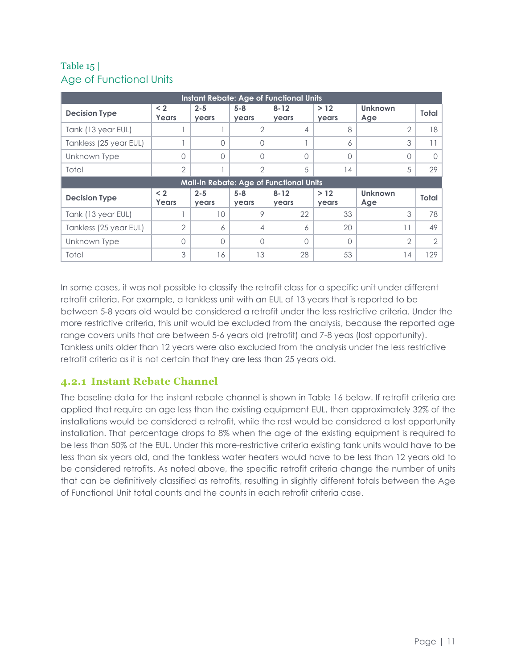## Table 15 | Age of Functional Units

| <b>Instant Rebate: Age of Functional Units</b> |                          |                  |                  |                          |              |                       |                |  |  |  |
|------------------------------------------------|--------------------------|------------------|------------------|--------------------------|--------------|-----------------------|----------------|--|--|--|
| <b>Decision Type</b>                           | $\leq 2$<br><b>Years</b> | $2 - 5$<br>years | $5 - 8$<br>years | $8 - 12$<br>years        | >12<br>years | <b>Unknown</b><br>Age | Total          |  |  |  |
| Tank (13 year EUL)                             |                          |                  | $\overline{2}$   | 4                        | 8            | $\overline{2}$        | 18             |  |  |  |
| Tankless (25 year EUL)                         |                          | $\cap$           | Λ                |                          | 6            | 3                     |                |  |  |  |
| Unknown Type                                   | 0                        | $\bigcap$        | Λ                | 0                        | $\Omega$     | $\Omega$              |                |  |  |  |
| Total                                          | $\overline{2}$           |                  | $\overline{2}$   | 5                        | 14           | 5                     | 29             |  |  |  |
| <b>Mail-in Rebate: Age of Functional Units</b> |                          |                  |                  |                          |              |                       |                |  |  |  |
|                                                |                          |                  |                  |                          |              |                       |                |  |  |  |
| <b>Decision Type</b>                           | < 2<br>Years             | $2 - 5$<br>years | $5 - 8$<br>years | $8 - 12$<br><b>years</b> | >12<br>years | <b>Unknown</b><br>Age | Total          |  |  |  |
| Tank (13 year EUL)                             |                          | 10 <sup>°</sup>  | 9                | 22                       | 33           | 3                     | 78             |  |  |  |
| Tankless (25 year EUL)                         | $\overline{2}$           | $\overline{6}$   | $\overline{4}$   | 6                        | 20           | 11                    | 49             |  |  |  |
| Unknown Type                                   | 0                        | $\bigcap$        | $\cap$           | $\Omega$                 | $\bigcap$    | $\overline{2}$        | $\overline{2}$ |  |  |  |

In some cases, it was not possible to classify the retrofit class for a specific unit under different retrofit criteria. For example, a tankless unit with an EUL of 13 years that is reported to be between 5-8 years old would be considered a retrofit under the less restrictive criteria. Under the more restrictive criteria, this unit would be excluded from the analysis, because the reported age range covers units that are between 5-6 years old (retrofit) and 7-8 yeas (lost opportunity). Tankless units older than 12 years were also excluded from the analysis under the less restrictive retrofit criteria as it is not certain that they are less than 25 years old.

#### **4.2.1 Instant Rebate Channel**

The baseline data for the instant rebate channel is shown in Table 16 below. If retrofit criteria are applied that require an age less than the existing equipment EUL, then approximately 32% of the installations would be considered a retrofit, while the rest would be considered a lost opportunity installation. That percentage drops to 8% when the age of the existing equipment is required to be less than 50% of the EUL. Under this more-restrictive criteria existing tank units would have to be less than six years old, and the tankless water heaters would have to be less than 12 years old to be considered retrofits. As noted above, the specific retrofit criteria change the number of units that can be definitively classified as retrofits, resulting in slightly different totals between the Age of Functional Unit total counts and the counts in each retrofit criteria case.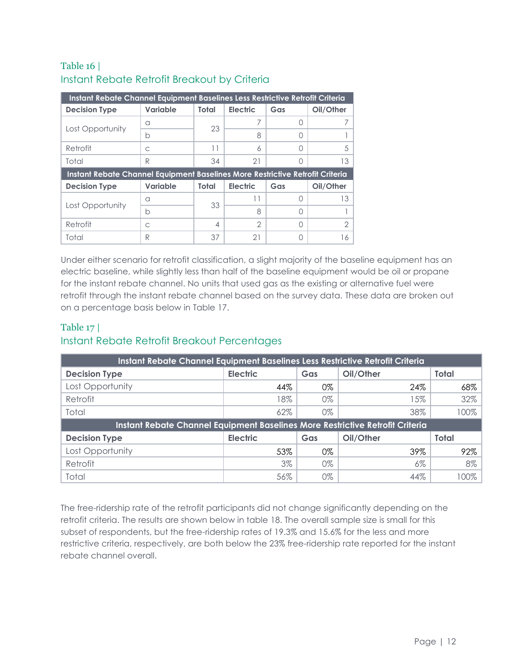## Table 16 | Instant Rebate Retrofit Breakout by Criteria

| Instant Rebate Channel Equipment Baselines Less Restrictive Retrofit Criteria |                 |                |                 |     |           |  |  |  |  |
|-------------------------------------------------------------------------------|-----------------|----------------|-----------------|-----|-----------|--|--|--|--|
| <b>Decision Type</b>                                                          | Variable        | Total          | <b>Electric</b> | Gas | Oil/Other |  |  |  |  |
|                                                                               | a               | 23             |                 | ∩   |           |  |  |  |  |
| Lost Opportunity                                                              | b               |                | 8               | ∩   |           |  |  |  |  |
| Retrofit                                                                      | C               | 11             | 6               | ∩   | .5        |  |  |  |  |
| Total                                                                         | R               | 34             | 21              | ∩   | 13        |  |  |  |  |
| Instant Rebate Channel Equipment Baselines More Restrictive Retrofit Criteria |                 |                |                 |     |           |  |  |  |  |
|                                                                               |                 |                |                 |     |           |  |  |  |  |
| <b>Decision Type</b>                                                          | <b>Variable</b> | Total          | <b>Electric</b> | Gas | Oil/Other |  |  |  |  |
|                                                                               | a               |                | 11              | ∩   | 13        |  |  |  |  |
| Lost Opportunity                                                              | b               | 33             | 8               | ∩   |           |  |  |  |  |
| Retrofit                                                                      | C               | $\overline{4}$ | $\mathcal{P}$   | ∩   | 2         |  |  |  |  |

Under either scenario for retrofit classification, a slight majority of the baseline equipment has an electric baseline, while slightly less than half of the baseline equipment would be oil or propane for the instant rebate channel. No units that used gas as the existing or alternative fuel were retrofit through the instant rebate channel based on the survey data. These data are broken out on a percentage basis below in Table 17.

## Table 17 | Instant Rebate Retrofit Breakout Percentages

| Instant Rebate Channel Equipment Baselines Less Restrictive Retrofit Criteria |                 |       |           |              |  |  |  |  |
|-------------------------------------------------------------------------------|-----------------|-------|-----------|--------------|--|--|--|--|
| <b>Decision Type</b>                                                          | <b>Electric</b> | Gas   | Oil/Other | <b>Total</b> |  |  |  |  |
| Lost Opportunity                                                              | 44%             | 0%    | 24%       | 68%          |  |  |  |  |
| Retrofit                                                                      | 18%             | 0%    | 15%       | 32%          |  |  |  |  |
| Total                                                                         | 62%             | $0\%$ | 38%       | 100%         |  |  |  |  |
| Instant Rebate Channel Equipment Baselines More Restrictive Retrofit Criteria |                 |       |           |              |  |  |  |  |
| <b>Decision Type</b>                                                          | <b>Electric</b> | Gas   | Oil/Other | <b>Total</b> |  |  |  |  |
| Lost Opportunity                                                              | 53%             | 0%    | 39%       | 92%          |  |  |  |  |
| Retrofit                                                                      | 3%              | 0%    | $6\%$     | 8%           |  |  |  |  |
| Total                                                                         | 56%             | 0%    | 44%       | $100\%$      |  |  |  |  |

The free-ridership rate of the retrofit participants did not change significantly depending on the retrofit criteria. The results are shown below in table 18. The overall sample size is small for this subset of respondents, but the free-ridership rates of 19.3% and 15.6% for the less and more restrictive criteria, respectively, are both below the 23% free-ridership rate reported for the instant rebate channel overall.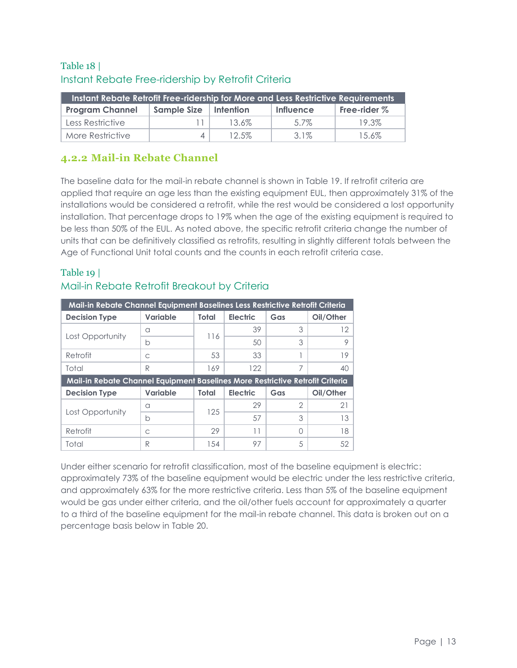#### Table 18 | Instant Rebate Free-ridership by Retrofit Criteria

| Instant Rebate Retrofit Free-ridership for More and Less Restrictive Requirements |             |             |                  |                |  |  |  |  |
|-----------------------------------------------------------------------------------|-------------|-------------|------------------|----------------|--|--|--|--|
| <b>Program Channel</b>                                                            | Sample Size | l Intention | <b>Influence</b> | Free-rider $%$ |  |  |  |  |
| Less Restrictive                                                                  |             | $13.6\%$    | 5.7%             | 19.3%          |  |  |  |  |
| More Restrictive                                                                  | $\Delta$    | $12.5\%$    | 3.1%             | 15.6%          |  |  |  |  |

## **4.2.2 Mail-in Rebate Channel**

The baseline data for the mail-in rebate channel is shown in Table 19. If retrofit criteria are applied that require an age less than the existing equipment EUL, then approximately 31% of the installations would be considered a retrofit, while the rest would be considered a lost opportunity installation. That percentage drops to 19% when the age of the existing equipment is required to be less than 50% of the EUL. As noted above, the specific retrofit criteria change the number of units that can be definitively classified as retrofits, resulting in slightly different totals between the Age of Functional Unit total counts and the counts in each retrofit criteria case.

| Mail-in Rebate Channel Equipment Baselines Less Restrictive Retrofit Criteria |                 |       |                 |     |           |  |  |  |
|-------------------------------------------------------------------------------|-----------------|-------|-----------------|-----|-----------|--|--|--|
| <b>Decision Type</b>                                                          | <b>Variable</b> | Total | <b>Electric</b> | Gas | Oil/Other |  |  |  |
|                                                                               | a               |       | 39              | 3   | 12        |  |  |  |
| Lost Opportunity                                                              | b               | 116   | 50              | 3   | 9         |  |  |  |
| Retrofit                                                                      | C               | 53    | 33              |     | 19        |  |  |  |
| Total                                                                         | R               | 169   | 122             | 7   | 40        |  |  |  |
| Mail-in Rebate Channel Equipment Baselines More Restrictive Retrofit Criteria |                 |       |                 |     |           |  |  |  |
| <b>Decision Type</b>                                                          | Variable        | Total | <b>Electric</b> | Gas | Oil/Other |  |  |  |
|                                                                               |                 |       |                 |     |           |  |  |  |
|                                                                               | a               |       | 29              | 2   | 21        |  |  |  |
| Lost Opportunity                                                              | b               | 125   | 57              | 3   | 13        |  |  |  |
| Retrofit                                                                      | C               | 29    | 11              | ∩   | 18        |  |  |  |

#### Table 19 | Mail-in Rebate Retrofit Breakout by Criteria

Under either scenario for retrofit classification, most of the baseline equipment is electric: approximately 73% of the baseline equipment would be electric under the less restrictive criteria, and approximately 63% for the more restrictive criteria. Less than 5% of the baseline equipment would be gas under either criteria, and the oil/other fuels account for approximately a quarter to a third of the baseline equipment for the mail-in rebate channel. This data is broken out on a percentage basis below in Table 20.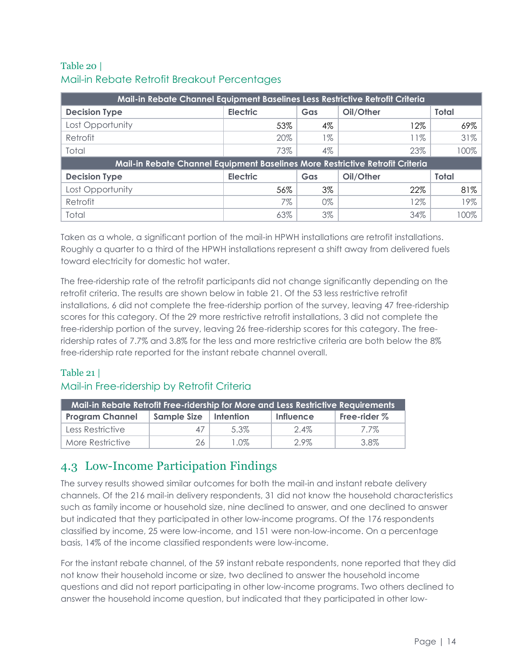### Table 20 | Mail-in Rebate Retrofit Breakout Percentages

| Mail-in Rebate Channel Equipment Baselines Less Restrictive Retrofit Criteria |                 |       |           |              |  |  |  |  |
|-------------------------------------------------------------------------------|-----------------|-------|-----------|--------------|--|--|--|--|
| <b>Decision Type</b>                                                          | <b>Electric</b> | Gas   | Oil/Other | <b>Total</b> |  |  |  |  |
| Lost Opportunity                                                              | 53%             | 4%    | l 2%      | 69%          |  |  |  |  |
| Retrofit                                                                      | 20%             | 1%    | 11%       | 31%          |  |  |  |  |
| Total                                                                         | 73%             | $4\%$ | 23%       | 100%         |  |  |  |  |
| Mail-in Rebate Channel Equipment Baselines More Restrictive Retrofit Criteria |                 |       |           |              |  |  |  |  |
| <b>Decision Type</b>                                                          | <b>Electric</b> | Gas   | Oil/Other | <b>Total</b> |  |  |  |  |
| Lost Opportunity                                                              | 56%             | 3%    | 22%       | 81%          |  |  |  |  |
| Retrofit                                                                      | 7%              | 0%    | 12%       | 19%          |  |  |  |  |
| Total                                                                         | 63%             | $3\%$ | 34%       | 100%         |  |  |  |  |

Taken as a whole, a significant portion of the mail-in HPWH installations are retrofit installations. Roughly a quarter to a third of the HPWH installations represent a shift away from delivered fuels toward electricity for domestic hot water.

The free-ridership rate of the retrofit participants did not change significantly depending on the retrofit criteria. The results are shown below in table 21. Of the 53 less restrictive retrofit installations, 6 did not complete the free-ridership portion of the survey, leaving 47 free-ridership scores for this category. Of the 29 more restrictive retrofit installations, 3 did not complete the free-ridership portion of the survey, leaving 26 free-ridership scores for this category. The freeridership rates of 7.7% and 3.8% for the less and more restrictive criteria are both below the 8% free-ridership rate reported for the instant rebate channel overall.

## Table 21 | Mail-in Free-ridership by Retrofit Criteria

| Mail-in Rebate Retrofit Free-ridership for More and Less Restrictive Requirements |             |           |                  |                |  |  |  |  |
|-----------------------------------------------------------------------------------|-------------|-----------|------------------|----------------|--|--|--|--|
| <b>Program Channel</b>                                                            | Sample Size | Intention | <b>Influence</b> | Free-rider $%$ |  |  |  |  |
| Less Restrictive                                                                  | 47          | .5.3%     | $2.4\%$          | 7.7%           |  |  |  |  |
| More Restrictive                                                                  | 26          | I .OZ     | $2.9\%$          | 3.8%           |  |  |  |  |

# 4.3 Low-Income Participation Findings

The survey results showed similar outcomes for both the mail-in and instant rebate delivery channels. Of the 216 mail-in delivery respondents, 31 did not know the household characteristics such as family income or household size, nine declined to answer, and one declined to answer but indicated that they participated in other low-income programs. Of the 176 respondents classified by income, 25 were low-income, and 151 were non-low-income. On a percentage basis, 14% of the income classified respondents were low-income.

For the instant rebate channel, of the 59 instant rebate respondents, none reported that they did not know their household income or size, two declined to answer the household income questions and did not report participating in other low-income programs. Two others declined to answer the household income question, but indicated that they participated in other low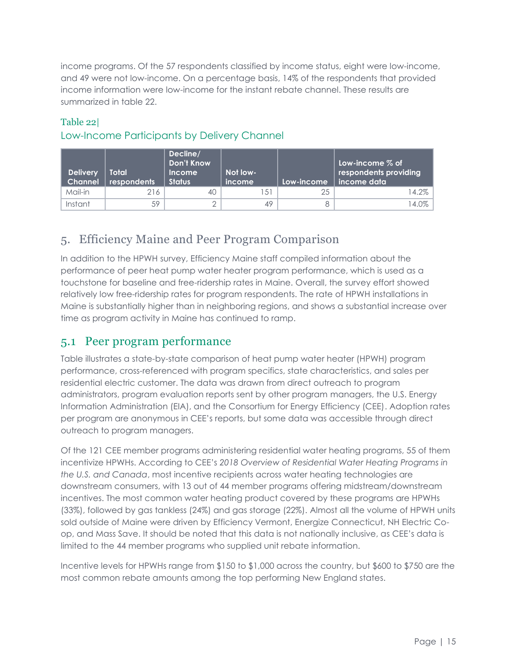income programs. Of the 57 respondents classified by income status, eight were low-income, and 49 were not low-income. On a percentage basis, 14% of the respondents that provided income information were low-income for the instant rebate channel. These results are summarized in table 22.

#### Table 22|

# Low-Income Participants by Delivery Channel

| <b>Delivery</b><br><b>Channel</b> | Total<br>respondents | Decline/<br><b>Don't Know</b><br><b>Income</b><br><b>Status</b> | Not low-<br><i>income</i> | Low-income | . Low-income $\%$ of<br>respondents providing<br>income data |
|-----------------------------------|----------------------|-----------------------------------------------------------------|---------------------------|------------|--------------------------------------------------------------|
| Mail-in                           | 216                  | 40                                                              | $5^{\circ}$               |            | $14.2\%$                                                     |
| Instant                           | 59                   |                                                                 | 49                        |            | 4.0%                                                         |

# 5. Efficiency Maine and Peer Program Comparison

In addition to the HPWH survey, Efficiency Maine staff compiled information about the performance of peer heat pump water heater program performance, which is used as a touchstone for baseline and free-ridership rates in Maine. Overall, the survey effort showed relatively low free-ridership rates for program respondents. The rate of HPWH installations in Maine is substantially higher than in neighboring regions, and shows a substantial increase over time as program activity in Maine has continued to ramp.

# 5.1 Peer program performance

[Table i](#page-15-0)llustrates a state-by-state comparison of heat pump water heater (HPWH) program performance, cross-referenced with program specifics, state characteristics, and sales per residential electric customer. The data was drawn from direct outreach to program administrators, program evaluation reports sent by other program managers, the U.S. Energy Information Administration (EIA), and the Consortium for Energy Efficiency (CEE). Adoption rates per program are anonymous in CEE's reports, but some data was accessible through direct outreach to program managers.

Of the 121 CEE member programs administering residential water heating programs, 55 of them incentivize HPWHs. According to CEE's *2018 Overview of Residential Water Heating Programs in the U.S. and Canada*, most incentive recipients across water heating technologies are downstream consumers, with 13 out of 44 member programs offering midstream/downstream incentives. The most common water heating product covered by these programs are HPWHs (33%), followed by gas tankless (24%) and gas storage (22%). Almost all the volume of HPWH units sold outside of Maine were driven by Efficiency Vermont, Energize Connecticut, NH Electric Coop, and Mass Save. It should be noted that this data is not nationally inclusive, as CEE's data is limited to the 44 member programs who supplied unit rebate information.

Incentive levels for HPWHs range from \$150 to \$1,000 across the country, but \$600 to \$750 are the most common rebate amounts among the top performing New England states.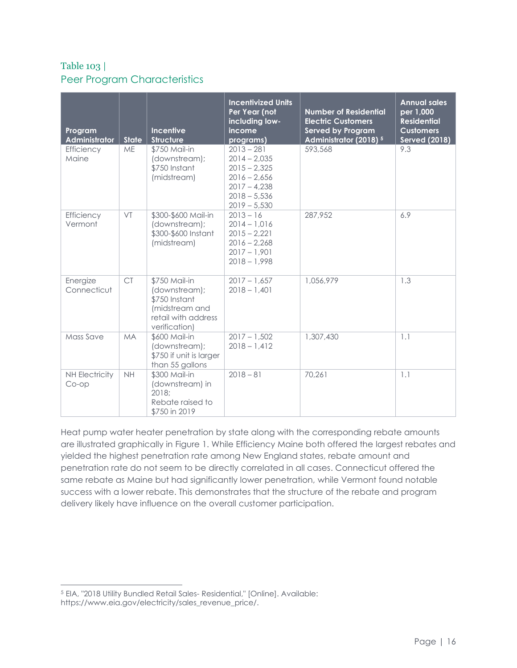## <span id="page-15-0"></span>Table 103 | Peer Program Characteristics

| Program<br>Administrator       | <b>State</b> | Incentive<br><b>Structure</b>                                                                             | <b>Incentivized Units</b><br>Per Year (not<br>including low-<br>income<br>programs)                                      | <b>Number of Residential</b><br><b>Electric Customers</b><br><b>Served by Program</b><br>Administrator (2018) <sup>5</sup> | <b>Annual sales</b><br>per 1,000<br><b>Residential</b><br><b>Customers</b><br><b>Served (2018)</b> |
|--------------------------------|--------------|-----------------------------------------------------------------------------------------------------------|--------------------------------------------------------------------------------------------------------------------------|----------------------------------------------------------------------------------------------------------------------------|----------------------------------------------------------------------------------------------------|
| Efficiency<br>Maine            | <b>ME</b>    | \$750 Mail-in<br>(downstream);<br>\$750 Instant<br>(midstream)                                            | $2013 - 281$<br>$2014 - 2,035$<br>$2015 - 2,325$<br>$2016 - 2,656$<br>$2017 - 4,238$<br>$2018 - 5,536$<br>$2019 - 5,530$ | 593,568                                                                                                                    | 9.3                                                                                                |
| Efficiency<br>Vermont          | VT           | \$300-\$600 Mail-in<br>(downstream);<br>\$300-\$600 Instant<br>(midstream)                                | $2013 - 16$<br>$2014 - 1,016$<br>$2015 - 2,221$<br>$2016 - 2,268$<br>$2017 - 1,901$<br>$2018 - 1,998$                    | 287,952                                                                                                                    | 6.9                                                                                                |
| Energize<br>Connecticut        | <b>CT</b>    | \$750 Mail-in<br>(downstream);<br>\$750 Instant<br>(midstream and<br>retail with address<br>verification) | $2017 - 1,657$<br>$2018 - 1,401$                                                                                         | 1,056,979                                                                                                                  | 1.3                                                                                                |
| <b>Mass Save</b>               | <b>MA</b>    | \$600 Mail-in<br>(downstream);<br>\$750 if unit is larger<br>than 55 gallons                              | $2017 - 1,502$<br>$2018 - 1,412$                                                                                         | 1,307,430                                                                                                                  | 1.1                                                                                                |
| <b>NH Electricity</b><br>Co-op | <b>NH</b>    | \$300 Mail-in<br>(downstream) in<br>2018:<br>Rebate raised to<br>\$750 in 2019                            | $2018 - 81$                                                                                                              | 70,261                                                                                                                     | 1.1                                                                                                |

Heat pump water heater penetration by state along with the corresponding rebate amounts are illustrated graphically in [Figure 1.](#page-16-0) While Efficiency Maine both offered the largest rebates and yielded the highest penetration rate among New England states, rebate amount and penetration rate do not seem to be directly correlated in all cases. Connecticut offered the same rebate as Maine but had significantly lower penetration, while Vermont found notable success with a lower rebate. This demonstrates that the structure of the rebate and program delivery likely have influence on the overall customer participation.

<sup>5</sup> EIA, "2018 Utility Bundled Retail Sales- Residential," [Online]. Available: https://www.eia.gov/electricity/sales\_revenue\_price/.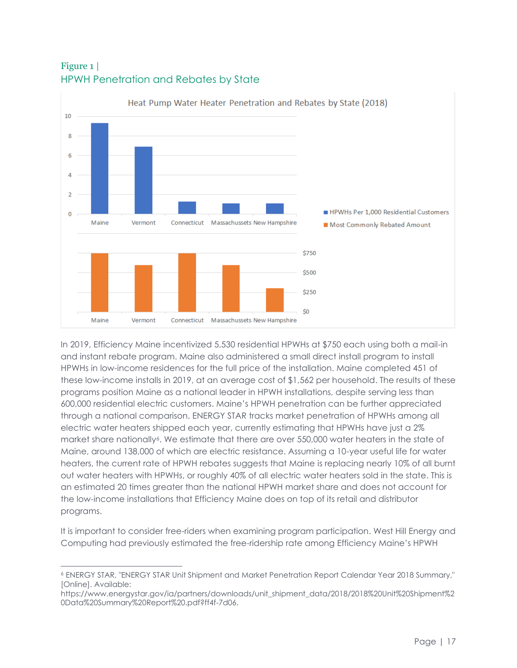

### <span id="page-16-0"></span>Figure 1 | HPWH Penetration and Rebates by State

In 2019, Efficiency Maine incentivized 5,530 residential HPWHs at \$750 each using both a mail-in and instant rebate program. Maine also administered a small direct install program to install HPWHs in low-income residences for the full price of the installation. Maine completed 451 of these low-income installs in 2019, at an average cost of \$1,562 per household. The results of these programs position Maine as a national leader in HPWH installations, despite serving less than 600,000 residential electric customers. Maine's HPWH penetration can be further appreciated through a national comparison. ENERGY STAR tracks market penetration of HPWHs among all electric water heaters shipped each year, currently estimating that HPWHs have just a 2% market share nationally<sup>6</sup>. We estimate that there are over 550,000 water heaters in the state of Maine, around 138,000 of which are electric resistance. Assuming a 10-year useful life for water heaters, the current rate of HPWH rebates suggests that Maine is replacing nearly 10% of all burnt out water heaters with HPWHs, or roughly 40% of all electric water heaters sold in the state. This is an estimated 20 times greater than the national HPWH market share and does not account for the low-income installations that Efficiency Maine does on top of its retail and distributor programs.

It is important to consider free-riders when examining program participation. West Hill Energy and Computing had previously estimated the free-ridership rate among Efficiency Maine's HPWH

<sup>6</sup> ENERGY STAR, "ENERGY STAR Unit Shipment and Market Penetration Report Calendar Year 2018 Summary," [Online]. Available:

https://www.energystar.gov/ia/partners/downloads/unit\_shipment\_data/2018/2018%20Unit%20Shipment%2 0Data%20Summary%20Report%20.pdf?ff4f-7d06.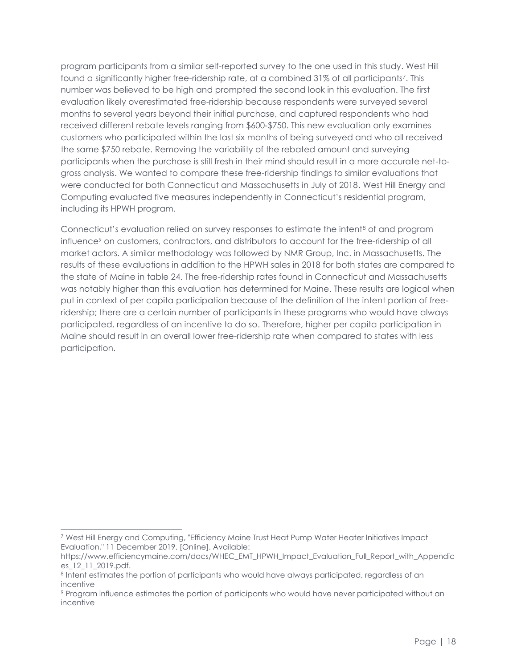program participants from a similar self-reported survey to the one used in this study. West Hill found a significantly higher free-ridership rate, at a combined 31% of all participants<sup>7</sup>. This number was believed to be high and prompted the second look in this evaluation. The first evaluation likely overestimated free-ridership because respondents were surveyed several months to several years beyond their initial purchase, and captured respondents who had received different rebate levels ranging from \$600-\$750. This new evaluation only examines customers who participated within the last six months of being surveyed and who all received the same \$750 rebate. Removing the variability of the rebated amount and surveying participants when the purchase is still fresh in their mind should result in a more accurate net-togross analysis. We wanted to compare these free-ridership findings to similar evaluations that were conducted for both Connecticut and Massachusetts in July of 2018. West Hill Energy and Computing evaluated five measures independently in Connecticut's residential program, including its HPWH program.

Connecticut's evaluation relied on survey responses to estimate the intent<sup>8</sup> of and program influence<sup>9</sup> on customers, contractors, and distributors to account for the free-ridership of all market actors. A similar methodology was followed by NMR Group, Inc. in Massachusetts. The results of these evaluations in addition to the HPWH sales in 2018 for both states are compared to the state of Maine in table 24. The free-ridership rates found in Connecticut and Massachusetts was notably higher than this evaluation has determined for Maine. These results are logical when put in context of per capita participation because of the definition of the intent portion of freeridership; there are a certain number of participants in these programs who would have always participated, regardless of an incentive to do so. Therefore, higher per capita participation in Maine should result in an overall lower free-ridership rate when compared to states with less participation.

<sup>7</sup> West Hill Energy and Computing, "Efficiency Maine Trust Heat Pump Water Heater Initiatives Impact Evaluation," 11 December 2019. [Online]. Available:

https://www.efficiencymaine.com/docs/WHEC\_EMT\_HPWH\_Impact\_Evaluation\_Full\_Report\_with\_Appendic es\_12\_11\_2019.pdf.

<sup>&</sup>lt;sup>8</sup> Intent estimates the portion of participants who would have always participated, regardless of an incentive

<sup>9</sup> Program influence estimates the portion of participants who would have never participated without an incentive